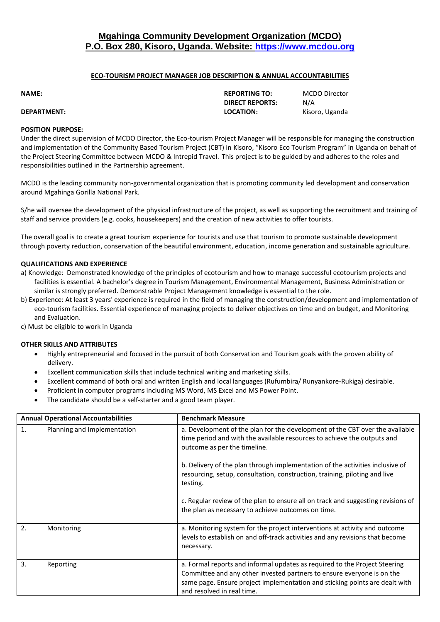# **Mgahinga Community Development Organization (MCDO) P.O. Box 280, Kisoro, Uganda. Website: [https://www.mcdou.org](https://www.mcdou.org/)**

## **ECO-TOURISM PROJECT MANAGER JOB DESCRIPTION & ANNUAL ACCOUNTABILITIES**

**DIRECT REPORTS:** N/A

**NAME: REPORTING TO:** MCDO Director

**DEPARTMENT: LOCATION:** Kisoro, Uganda

## **POSITION PURPOSE:**

Under the direct supervision of MCDO Director, the Eco-tourism Project Manager will be responsible for managing the construction and implementation of the Community Based Tourism Project (CBT) in Kisoro, "Kisoro Eco Tourism Program" in Uganda on behalf of the Project Steering Committee between MCDO & Intrepid Travel. This project is to be guided by and adheres to the roles and responsibilities outlined in the Partnership agreement.

MCDO is the leading community non-governmental organization that is promoting community led development and conservation around Mgahinga Gorilla National Park.

S/he will oversee the development of the physical infrastructure of the project, as well as supporting the recruitment and training of staff and service providers (e.g. cooks, housekeepers) and the creation of new activities to offer tourists.

The overall goal is to create a great tourism experience for tourists and use that tourism to promote sustainable development through poverty reduction, conservation of the beautiful environment, education, income generation and sustainable agriculture.

## **QUALIFICATIONS AND EXPERIENCE**

- a) Knowledge: Demonstrated knowledge of the principles of ecotourism and how to manage successful ecotourism projects and facilities is essential. A bachelor's degree in Tourism Management, Environmental Management, Business Administration or similar is strongly preferred. Demonstrable Project Management knowledge is essential to the role.
- b) Experience: At least 3 years' experience is required in the field of managing the construction/development and implementation of eco-tourism facilities. Essential experience of managing projects to deliver objectives on time and on budget, and Monitoring and Evaluation.

c) Must be eligible to work in Uganda

## **OTHER SKILLS AND ATTRIBUTES**

- Highly entrepreneurial and focused in the pursuit of both Conservation and Tourism goals with the proven ability of delivery.
- Excellent communication skills that include technical writing and marketing skills.
- Excellent command of both oral and written English and local languages (Rufumbira/ Runyankore-Rukiga) desirable.
- Proficient in computer programs including MS Word, MS Excel and MS Power Point.
- The candidate should be a self-starter and a good team player.

| <b>Annual Operational Accountabilities</b> |                             | <b>Benchmark Measure</b>                                                                                                                                                                                                                                          |
|--------------------------------------------|-----------------------------|-------------------------------------------------------------------------------------------------------------------------------------------------------------------------------------------------------------------------------------------------------------------|
| 1.                                         | Planning and Implementation | a. Development of the plan for the development of the CBT over the available<br>time period and with the available resources to achieve the outputs and<br>outcome as per the timeline.                                                                           |
|                                            |                             | b. Delivery of the plan through implementation of the activities inclusive of<br>resourcing, setup, consultation, construction, training, piloting and live<br>testing.                                                                                           |
|                                            |                             | c. Regular review of the plan to ensure all on track and suggesting revisions of<br>the plan as necessary to achieve outcomes on time.                                                                                                                            |
| $\overline{2}$ .                           | Monitoring                  | a. Monitoring system for the project interventions at activity and outcome<br>levels to establish on and off-track activities and any revisions that become<br>necessary.                                                                                         |
| 3.                                         | Reporting                   | a. Formal reports and informal updates as required to the Project Steering<br>Committee and any other invested partners to ensure everyone is on the<br>same page. Ensure project implementation and sticking points are dealt with<br>and resolved in real time. |